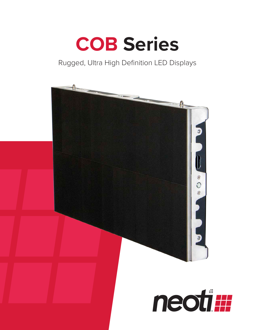

#### Rugged, Ultra High Definition LED Displays

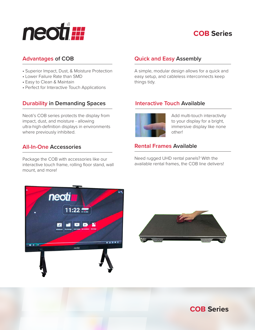## neoti#

#### **COB Series**

- Superior Impact, Dust, & Moisture Protection
- Lower Failure Rate than SMD
- Easy to Clean & Maintain
- Perfect for Interactive Touch Applications

#### **Durability in Demanding Spaces**

Neoti's COB series protects the display from impact, dust, and moisture - allowing ultra-high-definition displays in environments where previously inhibited.

#### **All-In-One Accessories**

Package the COB with accessories like our interactive touch frame, rolling floor stand, wall mount, and more!



A simple, modular design allows for a quick and easy setup, and cableless interconnects keep things tidy.

#### **Interactive Touch Available**



Add multi-touch interactivity to your display for a bright, immersive display like none other!

#### **Rental Frames Available**

Need rugged UHD rental panels? With the available rental frames, the COB line delivers!





**COB Series**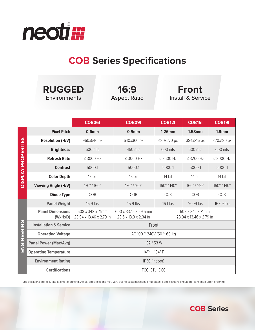

### **COB Series Specifications**

| <b>RUGGED</b><br>Environments |                                    |                                             | 16:9<br><b>Aspect Ratio</b>                   | <b>Front</b><br><b>Install &amp; Service</b> |                |                   |
|-------------------------------|------------------------------------|---------------------------------------------|-----------------------------------------------|----------------------------------------------|----------------|-------------------|
|                               |                                    | <b>COB061</b>                               | <b>COB091</b>                                 | <b>COB121</b>                                | <b>COB151</b>  | <b>COB191</b>     |
|                               | <b>Pixel Pitch</b>                 | 0.6 <sub>mm</sub>                           | 0.9 <sub>mm</sub>                             | <b>1.26mm</b>                                | <b>1.58mm</b>  | 1.9 <sub>mm</sub> |
| <b>DISPLAY PROPERTIES</b>     | <b>Resolution (H/V)</b>            | 960x540 px                                  | 640x360 px                                    | 480x270 px                                   | 384x216 px     | 320x180 px        |
|                               | <b>Brightness</b>                  | 600 nits                                    | 450 nits                                      | 600 nits                                     | 600 nits       | 600 nits          |
|                               | <b>Refresh Rate</b>                | $\leq$ 3000 Hz                              | $\leq$ 3060 Hz                                | $\leq$ 3600 Hz                               | $\leq$ 3200 Hz | $\leq$ 3000 Hz    |
|                               | <b>Contrast</b>                    | 5000:1                                      | 5000:1                                        | 5000:1                                       | 5000:1         | 5000:1            |
|                               | <b>Color Depth</b>                 | 13 bit                                      | 13 bit                                        | 14 bit                                       | 14 bit         | 14 bit            |
|                               | <b>Viewing Angle (H/V)</b>         | 170°/160°                                   | 170°/160°                                     | 160°/140°                                    | 160°/140°      | 160°/140°         |
|                               | <b>Diode Type</b>                  | COB                                         | COB                                           | COB                                          | COB            | COB               |
| <b>UZIRENES</b>               | <b>Panel Weight</b>                | 15.9 lbs                                    | 15.9 lbs                                      | 16.1 lbs                                     | 16.09 lbs      | 16.09 lbs         |
|                               | <b>Panel Dimensions</b><br>(WxHxD) | 608 x 342 x 71mm<br>23.94 x 13.46 x 2.79 in | 600 x 337.5 x 59.5mm<br>23.6 x 13.3 x 2.34 in | 608 x 342 x 71mm<br>23.94 x 13.46 x 2.79 in  |                |                   |
|                               | <b>Installation &amp; Service</b>  | Front                                       |                                               |                                              |                |                   |
|                               | <b>Operating Voltage</b>           | AC 100 $^{\circ}$ 240V (50 $^{\circ}$ 60Hz) |                                               |                                              |                |                   |
|                               | <b>Panel Power (Max/Avg)</b>       | 132 / 53 W                                  |                                               |                                              |                |                   |
|                               | <b>Operating Temperature</b>       | $14^{\circ}$ ~ $+ 104^{\circ}$ F            |                                               |                                              |                |                   |
|                               | <b>Environment Rating</b>          | IP30 (Indoor)                               |                                               |                                              |                |                   |
|                               | <b>Certifications</b>              | FCC, ETL, CCC                               |                                               |                                              |                |                   |

Specifications are accurate at time of printing. Actual specifications may vary due to customizations or updates. Specifications should be confirmed upon ordering.